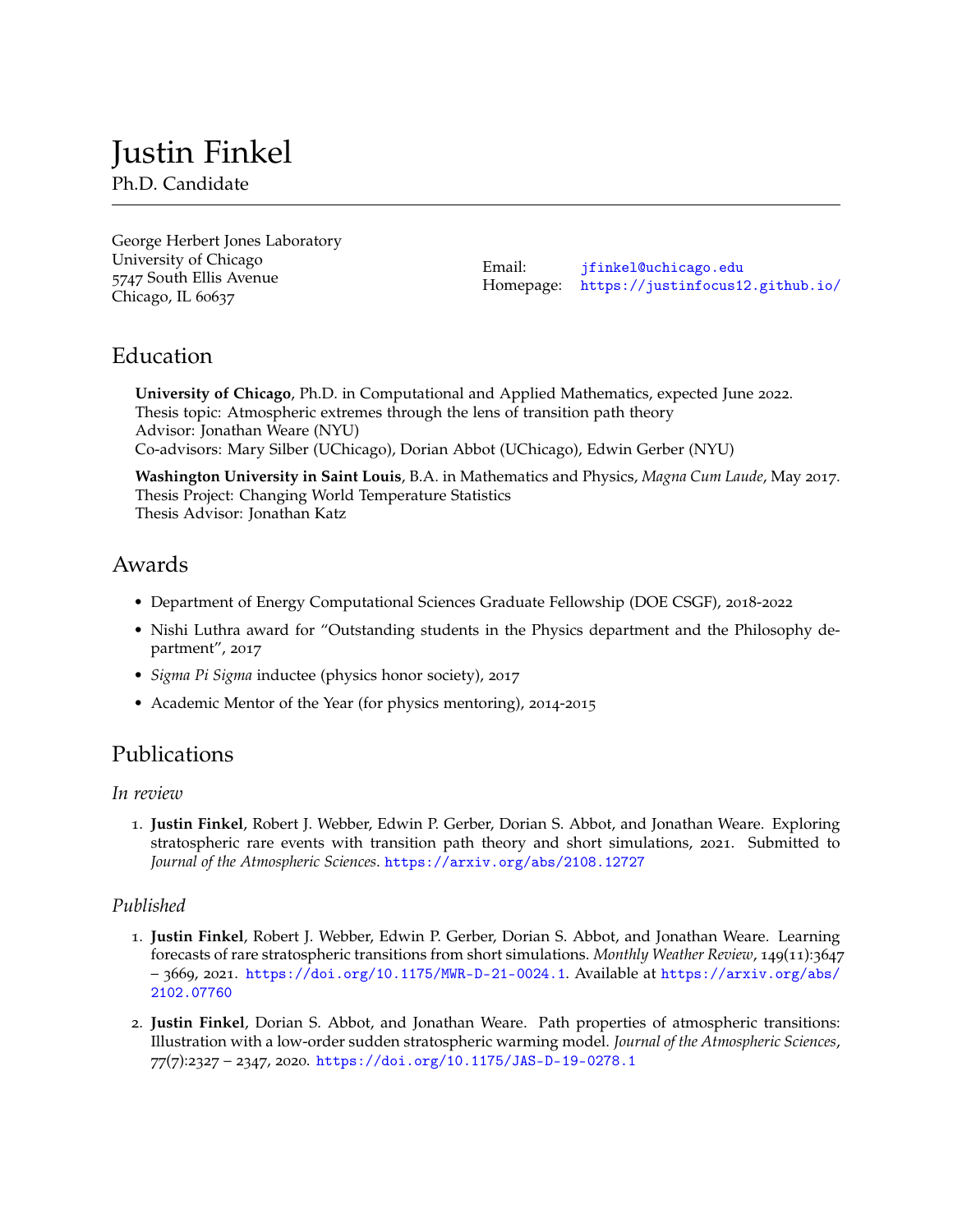# Justin Finkel

Ph.D. Candidate

George Herbert Jones Laboratory University of Chicago 5747 South Ellis Avenue Chicago, IL 60637

Email: [jfinkel@uchicago.edu](mailto:jfinkel@nyu.edu) Homepage: <https://justinfocus12.github.io/>

## Education

**University of Chicago**, Ph.D. in Computational and Applied Mathematics, expected June 2022. Thesis topic: Atmospheric extremes through the lens of transition path theory Advisor: Jonathan Weare (NYU) Co-advisors: Mary Silber (UChicago), Dorian Abbot (UChicago), Edwin Gerber (NYU)

**Washington University in Saint Louis**, B.A. in Mathematics and Physics, *Magna Cum Laude*, May 2017. Thesis Project: Changing World Temperature Statistics Thesis Advisor: Jonathan Katz

## Awards

- Department of Energy Computational Sciences Graduate Fellowship (DOE CSGF), 2018-2022
- Nishi Luthra award for "Outstanding students in the Physics department and the Philosophy department", 2017
- *Sigma Pi Sigma* inductee (physics honor society), 2017
- Academic Mentor of the Year (for physics mentoring), 2014-2015

## Publications

#### *In review*

1. **Justin Finkel**, Robert J. Webber, Edwin P. Gerber, Dorian S. Abbot, and Jonathan Weare. Exploring stratospheric rare events with transition path theory and short simulations, 2021. Submitted to *Journal of the Atmospheric Sciences*. <https://arxiv.org/abs/2108.12727>

#### *Published*

- 1. **Justin Finkel**, Robert J. Webber, Edwin P. Gerber, Dorian S. Abbot, and Jonathan Weare. Learning forecasts of rare stratospheric transitions from short simulations. *Monthly Weather Review*, 149(11):3647 – 3669, 2021. <https://doi.org/10.1175/MWR-D-21-0024.1>. Available at [https://arxiv.org/abs/](https://arxiv.org/abs/2102.07760) [2102.07760](https://arxiv.org/abs/2102.07760)
- 2. **Justin Finkel**, Dorian S. Abbot, and Jonathan Weare. Path properties of atmospheric transitions: Illustration with a low-order sudden stratospheric warming model. *Journal of the Atmospheric Sciences*, 77(7):2327 – 2347, 2020. <https://doi.org/10.1175/JAS-D-19-0278.1>